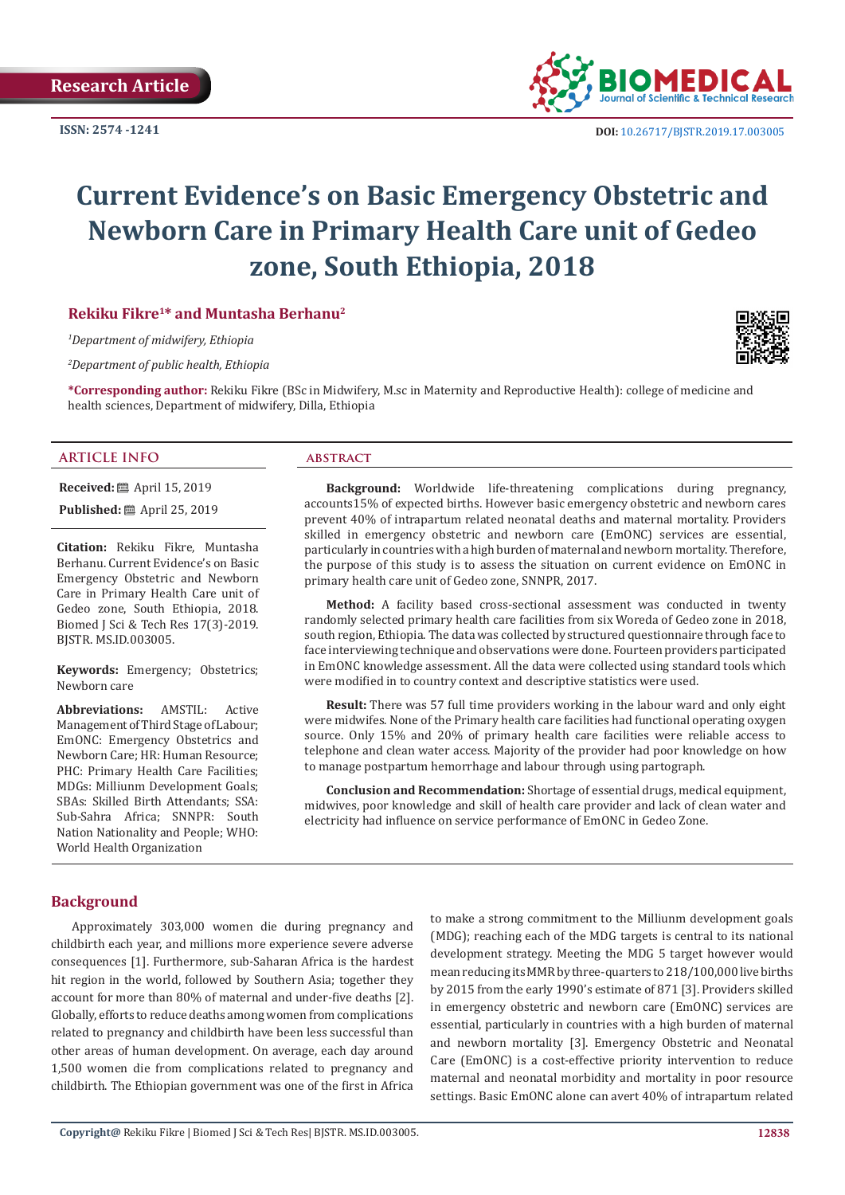**ISSN: 2574 -1241**



 **DOI:** [10.26717/BJSTR.2019.17.003005](http://dx.doi.org/10.26717/BJSTR.2019.17.003005)

# **Current Evidence's on Basic Emergency Obstetric and Newborn Care in Primary Health Care unit of Gedeo zone, South Ethiopia, 2018**

# **Rekiku Fikre1\* and Muntasha Berhanu2**

*1 Department of midwifery, Ethiopia*

*2 Department of public health, Ethiopia*

**\*Corresponding author:** Rekiku Fikre (BSc in Midwifery, M.sc in Maternity and Reproductive Health): college of medicine and health sciences, Department of midwifery, Dilla, Ethiopia

#### **ARTICLE INFO abstract**

**Received:** April 15, 2019

**Published:** ■ April 25, 2019

**Citation:** Rekiku Fikre, Muntasha Berhanu. Current Evidence's on Basic Emergency Obstetric and Newborn Care in Primary Health Care unit of Gedeo zone, South Ethiopia, 2018. Biomed J Sci & Tech Res 17(3)-2019. BJSTR. MS.ID.003005.

**Keywords:** Emergency; Obstetrics; Newborn care

**Abbreviations:** AMSTIL: Active Management of Third Stage of Labour; EmONC: Emergency Obstetrics and Newborn Care; HR: Human Resource; PHC: Primary Health Care Facilities; MDGs: Milliunm Development Goals; SBAs: Skilled Birth Attendants; SSA: Sub-Sahra Africa; SNNPR: South Nation Nationality and People; WHO: World Health Organization

**Background:** Worldwide life-threatening complications during pregnancy, accounts15% of expected births. However basic emergency obstetric and newborn cares prevent 40% of intrapartum related neonatal deaths and maternal mortality. Providers skilled in emergency obstetric and newborn care (EmONC) services are essential, particularly in countries with a high burden of maternal and newborn mortality. Therefore, the purpose of this study is to assess the situation on current evidence on EmONC in primary health care unit of Gedeo zone, SNNPR, 2017.

**Method:** A facility based cross-sectional assessment was conducted in twenty randomly selected primary health care facilities from six Woreda of Gedeo zone in 2018, south region, Ethiopia. The data was collected by structured questionnaire through face to face interviewing technique and observations were done. Fourteen providers participated in EmONC knowledge assessment. All the data were collected using standard tools which were modified in to country context and descriptive statistics were used.

**Result:** There was 57 full time providers working in the labour ward and only eight were midwifes. None of the Primary health care facilities had functional operating oxygen source. Only 15% and 20% of primary health care facilities were reliable access to telephone and clean water access. Majority of the provider had poor knowledge on how to manage postpartum hemorrhage and labour through using partograph.

**Conclusion and Recommendation:** Shortage of essential drugs, medical equipment, midwives, poor knowledge and skill of health care provider and lack of clean water and electricity had influence on service performance of EmONC in Gedeo Zone.

# **Background**

Approximately 303,000 women die during pregnancy and childbirth each year, and millions more experience severe adverse consequences [1]. Furthermore, sub-Saharan Africa is the hardest hit region in the world, followed by Southern Asia; together they account for more than 80% of maternal and under-five deaths [2]. Globally, efforts to reduce deaths among women from complications related to pregnancy and childbirth have been less successful than other areas of human development. On average, each day around 1,500 women die from complications related to pregnancy and childbirth. The Ethiopian government was one of the first in Africa to make a strong commitment to the Milliunm development goals (MDG); reaching each of the MDG targets is central to its national development strategy. Meeting the MDG 5 target however would mean reducing its MMR by three-quarters to 218/100,000 live births by 2015 from the early 1990's estimate of 871 [3]. Providers skilled in emergency obstetric and newborn care (EmONC) services are essential, particularly in countries with a high burden of maternal and newborn mortality [3]. Emergency Obstetric and Neonatal Care (EmONC) is a cost-effective priority intervention to reduce maternal and neonatal morbidity and mortality in poor resource settings. Basic EmONC alone can avert 40% of intrapartum related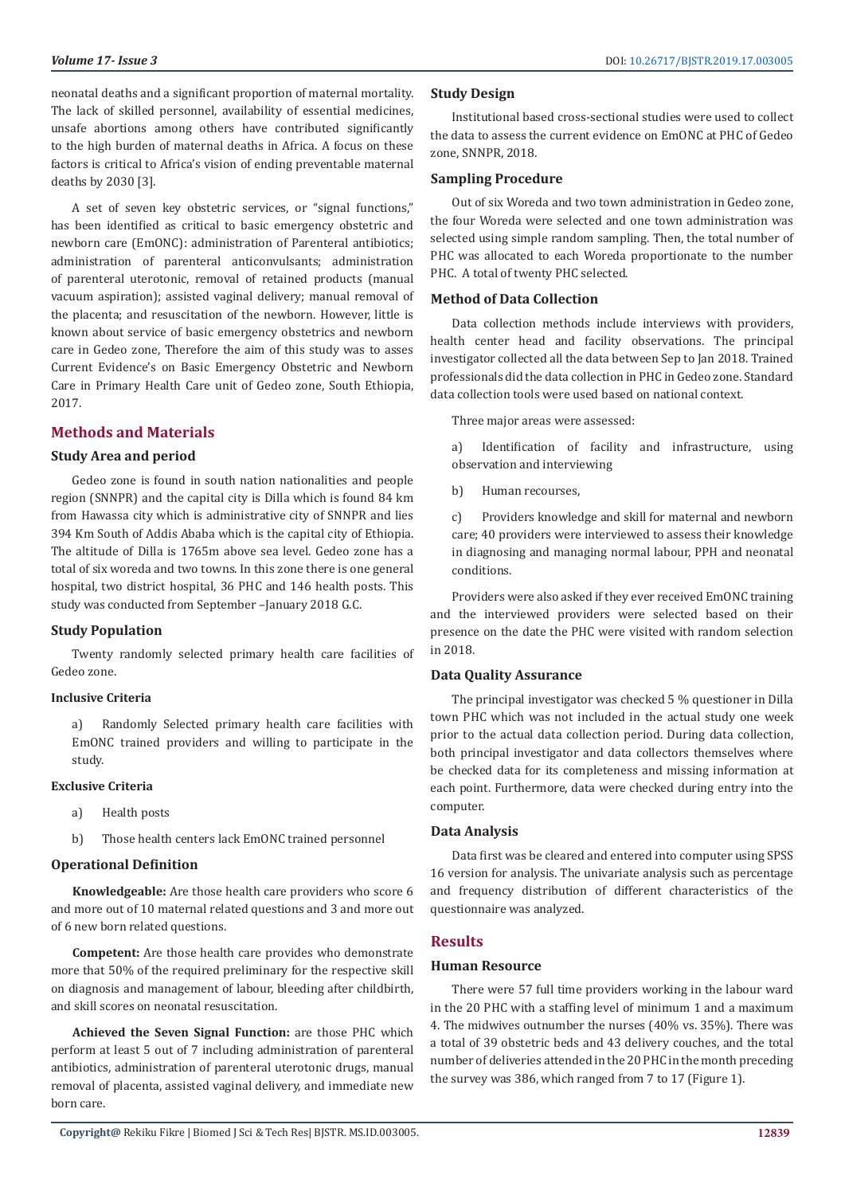neonatal deaths and a significant proportion of maternal mortality. The lack of skilled personnel, availability of essential medicines, unsafe abortions among others have contributed significantly to the high burden of maternal deaths in Africa. A focus on these factors is critical to Africa's vision of ending preventable maternal deaths by 2030 [3].

A set of seven key obstetric services, or "signal functions," has been identified as critical to basic emergency obstetric and newborn care (EmONC): administration of Parenteral antibiotics; administration of parenteral anticonvulsants; administration of parenteral uterotonic, removal of retained products (manual vacuum aspiration); assisted vaginal delivery; manual removal of the placenta; and resuscitation of the newborn. However, little is known about service of basic emergency obstetrics and newborn care in Gedeo zone, Therefore the aim of this study was to asses Current Evidence's on Basic Emergency Obstetric and Newborn Care in Primary Health Care unit of Gedeo zone, South Ethiopia, 2017.

# **Methods and Materials**

# **Study Area and period**

Gedeo zone is found in south nation nationalities and people region (SNNPR) and the capital city is Dilla which is found 84 km from Hawassa city which is administrative city of SNNPR and lies 394 Km South of Addis Ababa which is the capital city of Ethiopia. The altitude of Dilla is 1765m above sea level. Gedeo zone has a total of six woreda and two towns. In this zone there is one general hospital, two district hospital, 36 PHC and 146 health posts. This study was conducted from September –January 2018 G.C.

#### **Study Population**

Twenty randomly selected primary health care facilities of Gedeo zone.

#### **Inclusive Criteria**

a) Randomly Selected primary health care facilities with EmONC trained providers and willing to participate in the study.

# **Exclusive Criteria**

- a) Health posts
- b) Those health centers lack EmONC trained personnel

# **Operational Definition**

**Knowledgeable:** Are those health care providers who score 6 and more out of 10 maternal related questions and 3 and more out of 6 new born related questions.

**Competent:** Are those health care provides who demonstrate more that 50% of the required preliminary for the respective skill on diagnosis and management of labour, bleeding after childbirth, and skill scores on neonatal resuscitation.

**Achieved the Seven Signal Function:** are those PHC which perform at least 5 out of 7 including administration of parenteral antibiotics, administration of parenteral uterotonic drugs, manual removal of placenta, assisted vaginal delivery, and immediate new born care.

Institutional based cross-sectional studies were used to collect the data to assess the current evidence on EmONC at PHC of Gedeo zone, SNNPR, 2018.

#### **Sampling Procedure**

Out of six Woreda and two town administration in Gedeo zone, the four Woreda were selected and one town administration was selected using simple random sampling. Then, the total number of PHC was allocated to each Woreda proportionate to the number PHC. A total of twenty PHC selected.

#### **Method of Data Collection**

Data collection methods include interviews with providers, health center head and facility observations. The principal investigator collected all the data between Sep to Jan 2018. Trained professionals did the data collection in PHC in Gedeo zone. Standard data collection tools were used based on national context.

Three major areas were assessed:

a) Identification of facility and infrastructure, using observation and interviewing

b) Human recourses,

c) Providers knowledge and skill for maternal and newborn care; 40 providers were interviewed to assess their knowledge in diagnosing and managing normal labour, PPH and neonatal conditions.

Providers were also asked if they ever received EmONC training and the interviewed providers were selected based on their presence on the date the PHC were visited with random selection in 2018.

### **Data Quality Assurance**

The principal investigator was checked 5 % questioner in Dilla town PHC which was not included in the actual study one week prior to the actual data collection period. During data collection, both principal investigator and data collectors themselves where be checked data for its completeness and missing information at each point. Furthermore, data were checked during entry into the computer.

#### **Data Analysis**

Data first was be cleared and entered into computer using SPSS 16 version for analysis. The univariate analysis such as percentage and frequency distribution of different characteristics of the questionnaire was analyzed.

### **Results**

### **Human Resource**

There were 57 full time providers working in the labour ward in the 20 PHC with a staffing level of minimum 1 and a maximum 4. The midwives outnumber the nurses (40% vs. 35%). There was a total of 39 obstetric beds and 43 delivery couches, and the total number of deliveries attended in the 20 PHC in the month preceding the survey was 386, which ranged from 7 to 17 (Figure 1).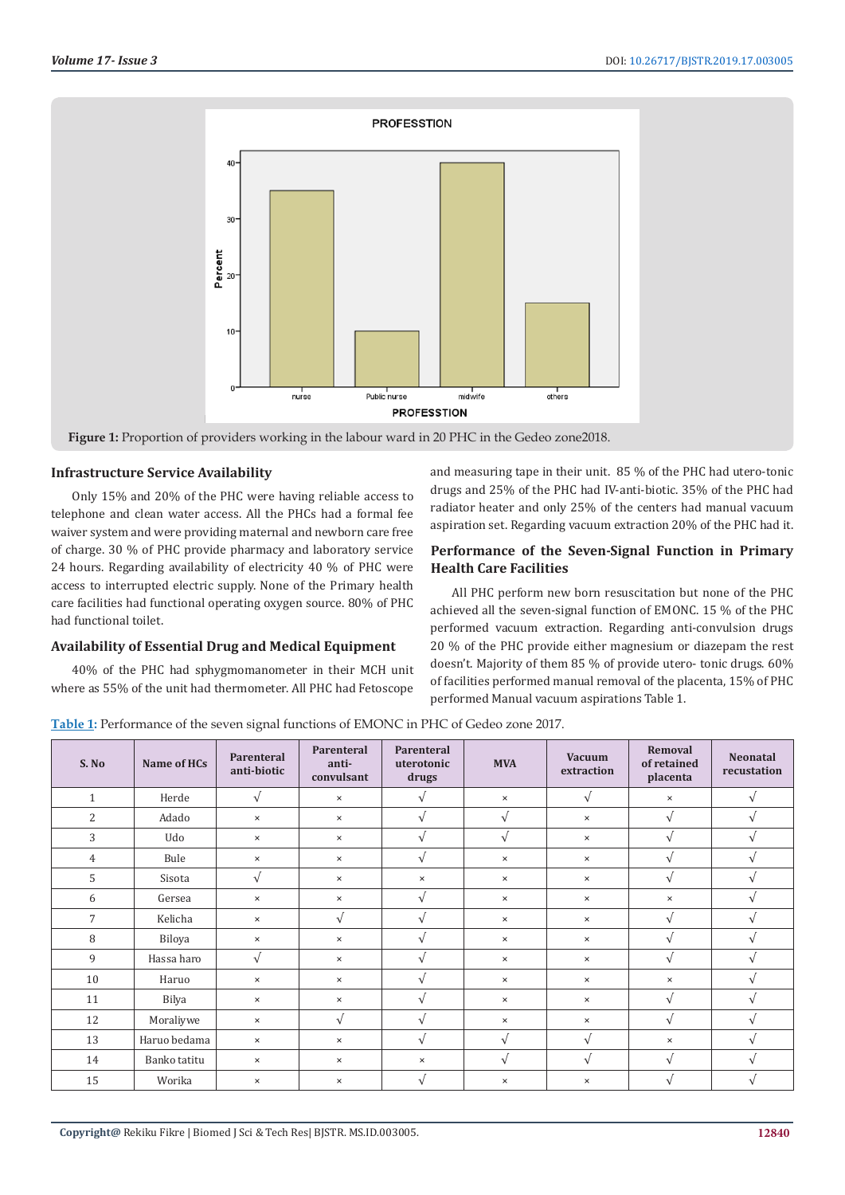

# **Infrastructure Service Availability**

Only 15% and 20% of the PHC were having reliable access to telephone and clean water access. All the PHCs had a formal fee waiver system and were providing maternal and newborn care free of charge. 30 % of PHC provide pharmacy and laboratory service 24 hours. Regarding availability of electricity 40 % of PHC were access to interrupted electric supply. None of the Primary health care facilities had functional operating oxygen source. 80% of PHC had functional toilet.

# **Availability of Essential Drug and Medical Equipment**

40% of the PHC had sphygmomanometer in their MCH unit where as 55% of the unit had thermometer. All PHC had Fetoscope

and measuring tape in their unit. 85 % of the PHC had utero-tonic drugs and 25% of the PHC had IV-anti-biotic. 35% of the PHC had radiator heater and only 25% of the centers had manual vacuum aspiration set. Regarding vacuum extraction 20% of the PHC had it.

# **Performance of the Seven-Signal Function in Primary Health Care Facilities**

All PHC perform new born resuscitation but none of the PHC achieved all the seven-signal function of EMONC. 15 % of the PHC performed vacuum extraction. Regarding anti-convulsion drugs 20 % of the PHC provide either magnesium or diazepam the rest doesn't. Majority of them 85 % of provide utero- tonic drugs. 60% of facilities performed manual removal of the placenta, 15% of PHC performed Manual vacuum aspirations Table 1.

| Table 1: Performance of the seven signal functions of EMONC in PHC of Gedeo zone 2017. |  |  |
|----------------------------------------------------------------------------------------|--|--|
|                                                                                        |  |  |

| S. No          | Name of HCs  | Parenteral<br>anti-biotic | Parenteral<br>anti-<br>convulsant | Parenteral<br>uterotonic<br>drugs | <b>MVA</b>                | <b>Vacuum</b><br>extraction | Removal<br>of retained<br>placenta | <b>Neonatal</b><br>recustation |
|----------------|--------------|---------------------------|-----------------------------------|-----------------------------------|---------------------------|-----------------------------|------------------------------------|--------------------------------|
| $\mathbf{1}$   | Herde        | $\sqrt{ }$                | $\times$                          | $\sqrt{ }$                        | $\boldsymbol{\mathsf{x}}$ | $\sqrt{ }$                  | $\times$                           | $\sqrt{ }$                     |
| 2              | Adado        | $\times$                  | $\times$                          | $\sqrt{ }$                        | $\sqrt{ }$                | $\times$                    | $\sqrt{ }$                         | $\sqrt{ }$                     |
| 3              | Udo          | $\times$                  | $\times$                          | $\sqrt{ }$                        | $\sqrt{ }$                | $\times$                    | $\sqrt{}$                          | $\sqrt{ }$                     |
| $\overline{4}$ | Bule         | $\times$                  | $\times$                          | $\sqrt{ }$                        | $\boldsymbol{\mathsf{x}}$ | $\times$                    | $\sqrt{ }$                         | $\sqrt{ }$                     |
| 5              | Sisota       | $\sqrt{ }$                | $\times$                          | $\times$                          | $\times$                  | $\times$                    | $\sqrt{ }$                         | $\sqrt{ }$                     |
| 6              | Gersea       | $\times$                  | $\times$                          | $\sqrt{ }$                        | $\times$                  | $\times$                    | $\times$                           | $\sqrt{ }$                     |
| $\overline{7}$ | Kelicha      | $\times$                  | $\sqrt{ }$                        | $\sqrt{ }$                        | $\times$                  | $\times$                    | $\sqrt{}$                          | $\sqrt{ }$                     |
| 8              | Biloya       | $\times$                  | $\times$                          | $\sqrt{ }$                        | $\times$                  | $\times$                    | $\sqrt{ }$                         | $\sqrt{ }$                     |
| 9              | Hassa haro   | $\sqrt{ }$                | $\times$                          | $\sqrt{ }$                        | $\times$                  | $\times$                    | $\sqrt{ }$                         | $\sqrt{ }$                     |
| 10             | Haruo        | $\times$                  | $\times$                          | $\sqrt{ }$                        | $\times$                  | $\times$                    | $\times$                           | $\sqrt{ }$                     |
| 11             | Bilya        | $\times$                  | $\times$                          | $\sqrt{ }$                        | $\times$                  | $\times$                    | $\sqrt{}$                          | $\sqrt{ }$                     |
| 12             | Moraliywe    | $\times$                  | $\sqrt{ }$                        | $\sqrt{ }$                        | $\times$                  | $\times$                    | $\sqrt{ }$                         | $\sqrt{ }$                     |
| 13             | Haruo bedama | $\times$                  | $\times$                          | $\sqrt{ }$                        | $\sqrt{ }$                | $\sqrt{ }$                  | $\times$                           | $\sqrt{ }$                     |
| 14             | Banko tatitu | $\times$                  | $\times$                          | $\times$                          | $\sqrt{ }$                | $\sqrt{ }$                  | $\sqrt{}$                          | $\sqrt{ }$                     |
| 15             | Worika       | $\times$                  | $\times$                          | $\sqrt{ }$                        | $\pmb{\times}$            | $\times$                    | $\sqrt{}$                          | $\sqrt{ }$                     |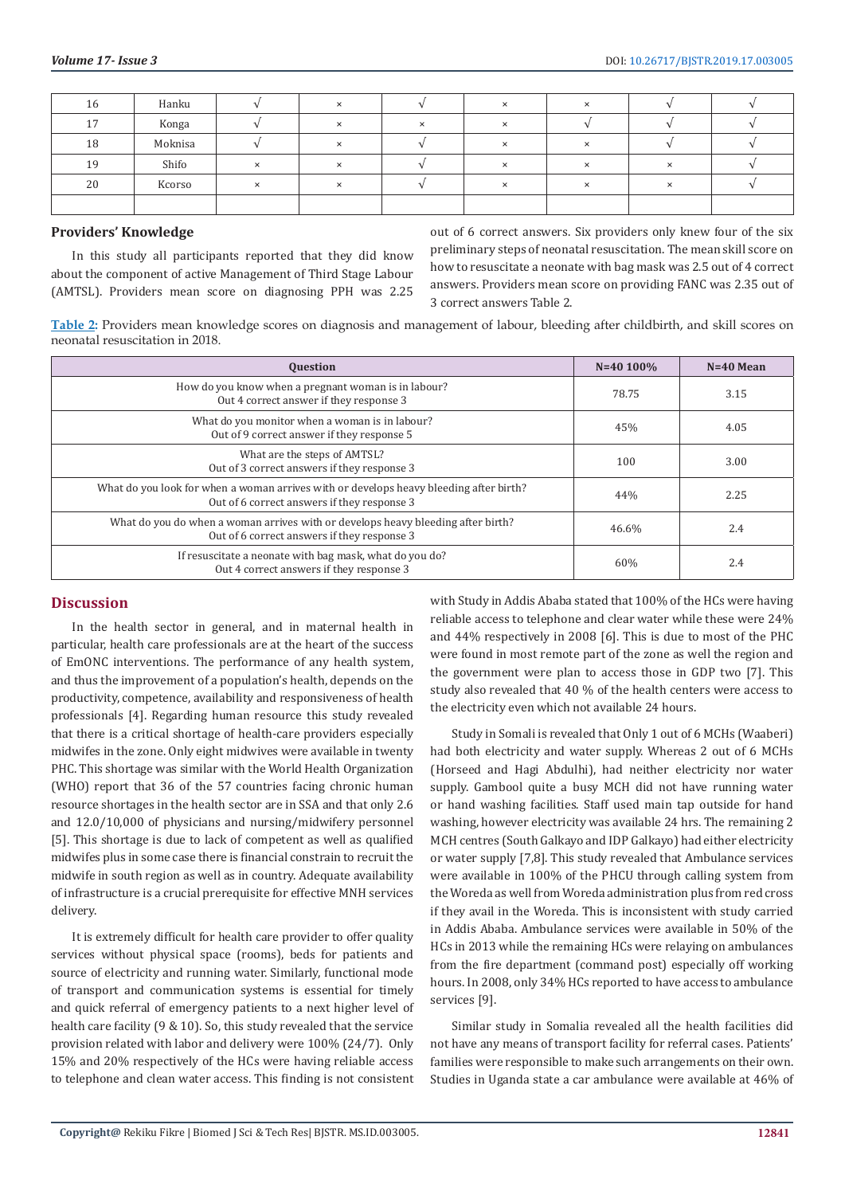| 16 | Hanku   |          |                          |          | $\checkmark$              |              |              |  |
|----|---------|----------|--------------------------|----------|---------------------------|--------------|--------------|--|
| 17 | Konga   |          | $\overline{\phantom{0}}$ | $\times$ | $\checkmark$<br>$\lambda$ |              |              |  |
| 18 | Moknisa |          |                          |          | $\checkmark$              |              |              |  |
| 19 | Shifo   | $\times$ | $\times$                 |          | $\times$                  | ×            | ×            |  |
| 20 | Kcorso  | $\times$ |                          |          | $\checkmark$              | $\checkmark$ | $\checkmark$ |  |
|    |         |          |                          |          |                           |              |              |  |

#### **Providers' Knowledge**

In this study all participants reported that they did know about the component of active Management of Third Stage Labour (AMTSL). Providers mean score on diagnosing PPH was 2.25 out of 6 correct answers. Six providers only knew four of the six preliminary steps of neonatal resuscitation. The mean skill score on how to resuscitate a neonate with bag mask was 2.5 out of 4 correct answers. Providers mean score on providing FANC was 2.35 out of 3 correct answers Table 2.

**Table 2:** Providers mean knowledge scores on diagnosis and management of labour, bleeding after childbirth, and skill scores on neonatal resuscitation in 2018.

| <b>Question</b>                                                                                                                       | $N=40$ 100% | $N=40$ Mean |
|---------------------------------------------------------------------------------------------------------------------------------------|-------------|-------------|
| How do you know when a pregnant woman is in labour?<br>Out 4 correct answer if they response 3                                        | 78.75       | 3.15        |
| What do you monitor when a woman is in labour?<br>Out of 9 correct answer if they response 5                                          | 45%         | 4.05        |
| What are the steps of AMTSL?<br>Out of 3 correct answers if they response 3                                                           | 100         | 3.00        |
| What do you look for when a woman arrives with or develops heavy bleeding after birth?<br>Out of 6 correct answers if they response 3 | 44%         | 2.25        |
| What do you do when a woman arrives with or develops heavy bleeding after birth?<br>Out of 6 correct answers if they response 3       | 46.6%       | 2.4         |
| If resuscitate a neonate with bag mask, what do you do?<br>Out 4 correct answers if they response 3                                   | 60%         | 2.4         |

# **Discussion**

In the health sector in general, and in maternal health in particular, health care professionals are at the heart of the success of EmONC interventions. The performance of any health system, and thus the improvement of a population's health, depends on the productivity, competence, availability and responsiveness of health professionals [4]. Regarding human resource this study revealed that there is a critical shortage of health-care providers especially midwifes in the zone. Only eight midwives were available in twenty PHC. This shortage was similar with the World Health Organization (WHO) report that 36 of the 57 countries facing chronic human resource shortages in the health sector are in SSA and that only 2.6 and 12.0/10,000 of physicians and nursing/midwifery personnel [5]. This shortage is due to lack of competent as well as qualified midwifes plus in some case there is financial constrain to recruit the midwife in south region as well as in country. Adequate availability of infrastructure is a crucial prerequisite for effective MNH services delivery.

It is extremely difficult for health care provider to offer quality services without physical space (rooms), beds for patients and source of electricity and running water. Similarly, functional mode of transport and communication systems is essential for timely and quick referral of emergency patients to a next higher level of health care facility (9 & 10). So, this study revealed that the service provision related with labor and delivery were 100% (24/7). Only 15% and 20% respectively of the HCs were having reliable access to telephone and clean water access. This finding is not consistent

with Study in Addis Ababa stated that 100% of the HCs were having reliable access to telephone and clear water while these were 24% and 44% respectively in 2008 [6]. This is due to most of the PHC were found in most remote part of the zone as well the region and the government were plan to access those in GDP two [7]. This study also revealed that 40 % of the health centers were access to the electricity even which not available 24 hours.

Study in Somali is revealed that Only 1 out of 6 MCHs (Waaberi) had both electricity and water supply. Whereas 2 out of 6 MCHs (Horseed and Hagi Abdulhi), had neither electricity nor water supply. Gambool quite a busy MCH did not have running water or hand washing facilities. Staff used main tap outside for hand washing, however electricity was available 24 hrs. The remaining 2 MCH centres (South Galkayo and IDP Galkayo) had either electricity or water supply [7,8]. This study revealed that Ambulance services were available in 100% of the PHCU through calling system from the Woreda as well from Woreda administration plus from red cross if they avail in the Woreda. This is inconsistent with study carried in Addis Ababa. Ambulance services were available in 50% of the HCs in 2013 while the remaining HCs were relaying on ambulances from the fire department (command post) especially off working hours. In 2008, only 34% HCs reported to have access to ambulance services [9].

Similar study in Somalia revealed all the health facilities did not have any means of transport facility for referral cases. Patients' families were responsible to make such arrangements on their own. Studies in Uganda state a car ambulance were available at 46% of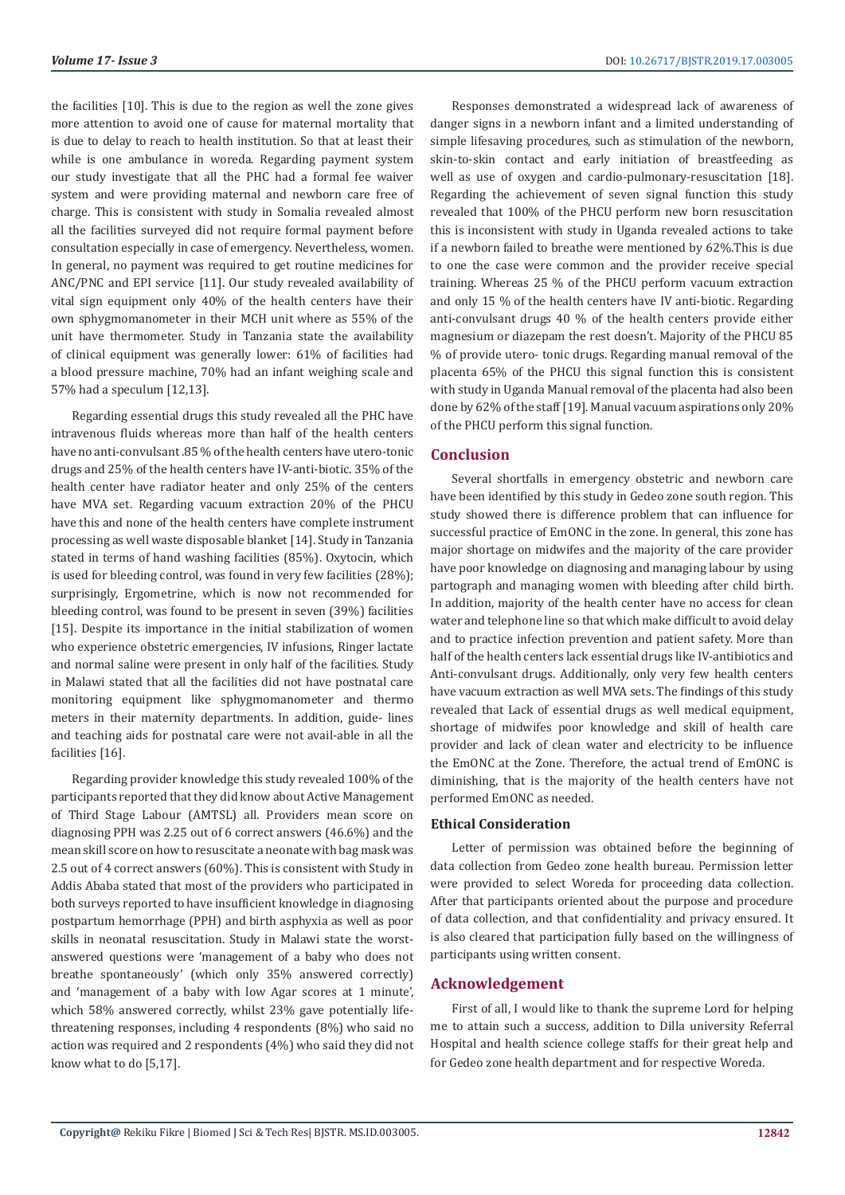the facilities [10]. This is due to the region as well the zone gives more attention to avoid one of cause for maternal mortality that is due to delay to reach to health institution. So that at least their while is one ambulance in woreda. Regarding payment system our study investigate that all the PHC had a formal fee waiver system and were providing maternal and newborn care free of charge. This is consistent with study in Somalia revealed almost all the facilities surveyed did not require formal payment before consultation especially in case of emergency. Nevertheless, women. In general, no payment was required to get routine medicines for ANC/PNC and EPI service [11]. Our study revealed availability of vital sign equipment only 40% of the health centers have their own sphygmomanometer in their MCH unit where as 55% of the unit have thermometer. Study in Tanzania state the availability of clinical equipment was generally lower: 61% of facilities had a blood pressure machine, 70% had an infant weighing scale and 57% had a speculum [12,13].

Regarding essential drugs this study revealed all the PHC have intravenous fluids whereas more than half of the health centers have no anti-convulsant .85 % of the health centers have utero-tonic drugs and 25% of the health centers have IV-anti-biotic. 35% of the health center have radiator heater and only 25% of the centers have MVA set. Regarding vacuum extraction 20% of the PHCU have this and none of the health centers have complete instrument processing as well waste disposable blanket [14]. Study in Tanzania stated in terms of hand washing facilities (85%). Oxytocin, which is used for bleeding control, was found in very few facilities (28%); surprisingly, Ergometrine, which is now not recommended for bleeding control, was found to be present in seven (39%) facilities [15]. Despite its importance in the initial stabilization of women who experience obstetric emergencies, IV infusions, Ringer lactate and normal saline were present in only half of the facilities. Study in Malawi stated that all the facilities did not have postnatal care monitoring equipment like sphygmomanometer and thermo meters in their maternity departments. In addition, guide- lines and teaching aids for postnatal care were not avail-able in all the facilities [16].

Regarding provider knowledge this study revealed 100% of the participants reported that they did know about Active Management of Third Stage Labour (AMTSL) all. Providers mean score on diagnosing PPH was 2.25 out of 6 correct answers (46.6%) and the mean skill score on how to resuscitate a neonate with bag mask was 2.5 out of 4 correct answers (60%). This is consistent with Study in Addis Ababa stated that most of the providers who participated in both surveys reported to have insufficient knowledge in diagnosing postpartum hemorrhage (PPH) and birth asphyxia as well as poor skills in neonatal resuscitation. Study in Malawi state the worstanswered questions were 'management of a baby who does not breathe spontaneously' (which only 35% answered correctly) and 'management of a baby with low Agar scores at 1 minute', which 58% answered correctly, whilst 23% gave potentially lifethreatening responses, including 4 respondents (8%) who said no action was required and 2 respondents (4%) who said they did not know what to do [5,17].

Responses demonstrated a widespread lack of awareness of danger signs in a newborn infant and a limited understanding of simple lifesaving procedures, such as stimulation of the newborn, skin-to-skin contact and early initiation of breastfeeding as well as use of oxygen and cardio-pulmonary-resuscitation [18]. Regarding the achievement of seven signal function this study revealed that 100% of the PHCU perform new born resuscitation this is inconsistent with study in Uganda revealed actions to take if a newborn failed to breathe were mentioned by 62%.This is due to one the case were common and the provider receive special training. Whereas 25 % of the PHCU perform vacuum extraction and only 15 % of the health centers have IV anti-biotic. Regarding anti-convulsant drugs 40 % of the health centers provide either magnesium or diazepam the rest doesn't. Majority of the PHCU 85 % of provide utero- tonic drugs. Regarding manual removal of the placenta 65% of the PHCU this signal function this is consistent with study in Uganda Manual removal of the placenta had also been done by 62% of the staff [19]. Manual vacuum aspirations only 20% of the PHCU perform this signal function.

### **Conclusion**

Several shortfalls in emergency obstetric and newborn care have been identified by this study in Gedeo zone south region. This study showed there is difference problem that can influence for successful practice of EmONC in the zone. In general, this zone has major shortage on midwifes and the majority of the care provider have poor knowledge on diagnosing and managing labour by using partograph and managing women with bleeding after child birth. In addition, majority of the health center have no access for clean water and telephone line so that which make difficult to avoid delay and to practice infection prevention and patient safety. More than half of the health centers lack essential drugs like IV-antibiotics and Anti-convulsant drugs. Additionally, only very few health centers have vacuum extraction as well MVA sets. The findings of this study revealed that Lack of essential drugs as well medical equipment, shortage of midwifes poor knowledge and skill of health care provider and lack of clean water and electricity to be influence the EmONC at the Zone. Therefore, the actual trend of EmONC is diminishing, that is the majority of the health centers have not performed EmONC as needed.

# **Ethical Consideration**

Letter of permission was obtained before the beginning of data collection from Gedeo zone health bureau. Permission letter were provided to select Woreda for proceeding data collection. After that participants oriented about the purpose and procedure of data collection, and that confidentiality and privacy ensured. It is also cleared that participation fully based on the willingness of participants using written consent.

### **Acknowledgement**

First of all, I would like to thank the supreme Lord for helping me to attain such a success, addition to Dilla university Referral Hospital and health science college staffs for their great help and for Gedeo zone health department and for respective Woreda.